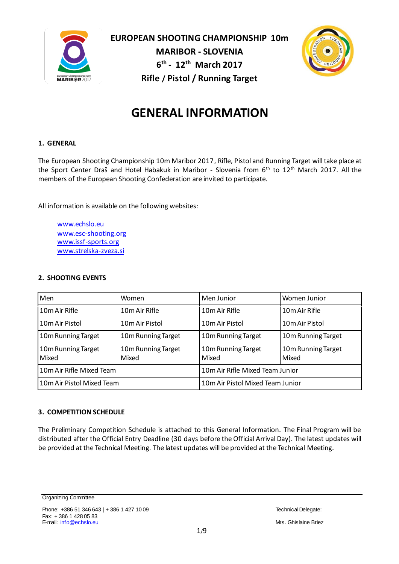

**EUROPEAN SHOOTING CHAMPIONSHIP 10m MARIBOR - SLOVENIA 6 th - 12th March 2017 Rifle / Pistol / Running Target**



# **GENERAL INFORMATION**

# **1. GENERAL**

The European Shooting Championship 10m Maribor 2017, Rifle, Pistol and Running Target will take place at the Sport Center Draš and Hotel Habakuk in Maribor - Slovenia from 6<sup>th</sup> to 12<sup>th</sup> March 2017. All the members of the European Shooting Confederation are invited to participate.

All information is available on the following websites:

[www.echslo.eu](http://www.echslo.eu/) [www.esc-shooting.org](http://www.esc-shooting.org/) [www.issf-sports.org](http://www.issf-sports.org/) [www.strelska-zveza.si](http://www.strelska-zveza.si/)

# **2. SHOOTING EVENTS**

| Men                         | Women                       | Men Junior                       | Women Junior                |  |
|-----------------------------|-----------------------------|----------------------------------|-----------------------------|--|
| 10m Air Rifle               | 10m Air Rifle               | 10m Air Rifle                    | 10m Air Rifle               |  |
| 10m Air Pistol              | 10m Air Pistol              | 10m Air Pistol                   | 10m Air Pistol              |  |
| 10m Running Target          | 10m Running Target          | 10m Running Target               | 10m Running Target          |  |
| 10m Running Target<br>Mixed | 10m Running Target<br>Mixed | 10m Running Target<br>Mixed      | 10m Running Target<br>Mixed |  |
| 10m Air Rifle Mixed Team    |                             | 10m Air Rifle Mixed Team Junior  |                             |  |
| 10m Air Pistol Mixed Team   |                             | 10m Air Pistol Mixed Team Junior |                             |  |

# **3. COMPETITION SCHEDULE**

The Preliminary Competition Schedule is attached to this General Information. The Final Program will be distributed after the Official Entry Deadline (30 days before the Official Arrival Day). The latest updates will be provided at the Technical Meeting. The latest updates will be provided at the Technical Meeting.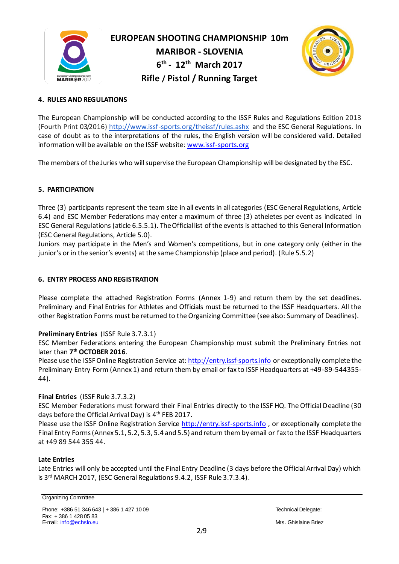



# **4. RULES AND REGULATIONS**

The European Championship will be conducted according to the ISSF Rules and Regulations Edition 2013 (Fourth Print 03/2016) [http://www.issf-sports.org/theissf/rules.ash](http://www.issf-sports.org/theissf/rules.ashx)x and the ESC General Regulations. In case of doubt as to the interpretations of the rules, the English version will be considered valid. Detailed information will be available on the ISSF website[: www.issf-sports.org](http://www.issf-sports.org/)

The members of the Juries who will supervise the European Championship will be designated by the ESC.

# **5. PARTICIPATION**

Three (3) participants represent the team size in all events in all categories (ESC General Regulations, Article 6.4) and ESC Member Federations may enter a maximum of three (3) atheletes per event as indicated in ESC General Regulations (aticle 6.5.5.1). The Official list of the events is attached to this General Information (ESC General Regulations, Article 5.0).

Juniors may participate in the Men's and Women's competitions, but in one category only (either in the junior's or in the senior's events) at the same Championship (place and period). (Rule 5.5.2)

# **6. ENTRY PROCESS AND REGISTRATION**

Please complete the attached Registration Forms (Annex 1-9) and return them by the set deadlines. Preliminary and Final Entries for Athletes and Officials must be returned to the ISSF Headquarters. All the other Registration Forms must be returned to the Organizing Committee (see also: Summary of Deadlines).

# **Preliminary Entries** (ISSF Rule 3.7.3.1)

ESC Member Federations entering the European Championship must submit the Preliminary Entries not later than **7 th OCTOBER 2016**.

Please use the ISSF Online Registration Service at: [http://entry.issf-sports.info](http://entry.issf-sports.info/) or exceptionally complete the Preliminary Entry Form (Annex 1) and return them by email or fax to ISSF Headquarters at +49-89-544355- 44).

# **Final Entries** (ISSF Rule 3.7.3.2)

ESC Member Federations must forward their Final Entries directly to the ISSF HQ. The Official Deadline (30 days before the Official Arrival Day) is  $4^\mathrm{th}$  FEB 2017.

Please use the ISSF Online Registration Service [http://entry.issf-sports.info](http://entry.issf-sports.info/) , or exceptionally complete the Final Entry Forms (Annex 5.1, 5.2, 5.3, 5.4 and 5.5) and return them by email or fax to the ISSF Headquarters at +49 89 544 355 44.

# **Late Entries**

Late Entries will only be accepted until the Final Entry Deadline (3 days before the Official Arrival Day) which is 3 rd MARCH 2017, (ESC General Regulations 9.4.2, ISSF Rule 3.7.3.4).

#### Organizing Committee

Phone: +386 51 346 643 | + 386 1 427 10 09 Technical Delegate: Technical Delegate: Fax: + 386 1 428 05 83 E-mail: [info@echslo.eu](mailto:info@echslo.eu) Mrs. Ghislaine Briez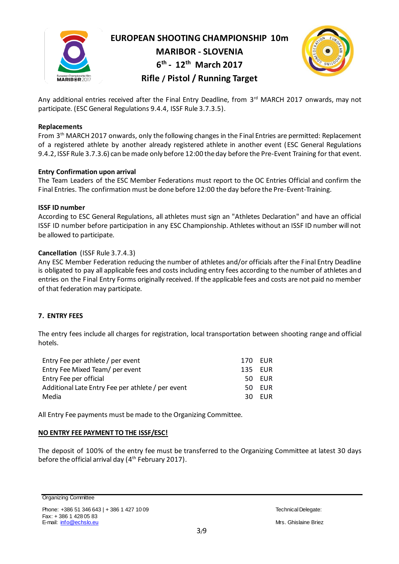

**EUROPEAN SHOOTING CHAMPIONSHIP 10m**

**MARIBOR - SLOVENIA**

**6 th - 12th March 2017** 

**Rifle / Pistol / Running Target**

Any additional entries received after the Final Entry Deadline, from 3<sup>rd</sup> MARCH 2017 onwards, may not participate. (ESC General Regulations 9.4.4, ISSF Rule 3.7.3.5).

# **Replacements**

From 3 th MARCH 2017 onwards, only the following changes in the Final Entries are permitted: Replacement of a registered athlete by another already registered athlete in another event (ESC General Regulations 9.4.2, ISSF Rule 3.7.3.6) can be made only before 12:00 the day before the Pre-Event Training for that event.

# **Entry Confirmation upon arrival**

The Team Leaders of the ESC Member Federations must report to the OC Entries Official and confirm the Final Entries. The confirmation must be done before 12:00 the day before the Pre-Event-Training.

# **ISSF ID number**

According to ESC General Regulations, all athletes must sign an "Athletes Declaration" and have an official ISSF ID number before participation in any ESC Championship. Athletes without an ISSF ID number will not be allowed to participate.

# **Cancellation** (ISSF Rule 3.7.4.3)

Any ESC Member Federation reducing the number of athletes and/or officials after the Final Entry Deadline is obligated to pay all applicable fees and costs including entry fees according to the number of athletes and entries on the Final Entry Forms originally received. If the applicable fees and costs are not paid no member of that federation may participate.

# **7. ENTRY FEES**

The entry fees include all charges for registration, local transportation between shooting range and official hotels.

| Entry Fee per athlete / per event                 |  | 170 EUR |
|---------------------------------------------------|--|---------|
| Entry Fee Mixed Team/ per event                   |  | 135 EUR |
| Entry Fee per official                            |  | 50 EUR  |
| Additional Late Entry Fee per athlete / per event |  | 50 EUR  |
| Media                                             |  | 30 EUR  |
|                                                   |  |         |

All Entry Fee payments must be made to the Organizing Committee.

# **NO ENTRY FEE PAYMENT TO THE ISSF/ESC!**

The deposit of 100% of the entry fee must be transferred to the Organizing Committee at latest 30 days before the official arrival day (4<sup>th</sup> February 2017).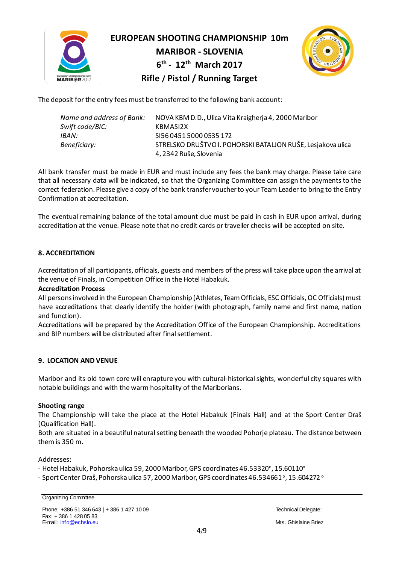

**EUROPEAN SHOOTING CHAMPIONSHIP 10m MARIBOR - SLOVENIA 6 th - 12th March 2017 Rifle / Pistol / Running Target**



The deposit for the entry fees must be transferred to the following bank account:

| Name and address of Bank: | NOVA KBM D.D., Ulica Vita Kraigherja 4, 2000 Maribor        |
|---------------------------|-------------------------------------------------------------|
| Swift code/BIC:           | KBMASI2X                                                    |
| IBAN:                     | SI56 0451 5000 0535 172                                     |
| Beneficiary:              | STRELSKO DRUŠTVO I. POHORSKI BATALJON RUŠE, Lesjakova ulica |
|                           | 4, 2342 Ruše, Slovenia                                      |

All bank transfer must be made in EUR and must include any fees the bank may charge. Please take care that all necessary data will be indicated, so that the Organizing Committee can assign the payments to the correct federation. Please give a copy of the bank transfer voucher to your Team Leader to bring to the Entry Confirmation at accreditation.

The eventual remaining balance of the total amount due must be paid in cash in EUR upon arrival, during accreditation at the venue. Please note that no credit cards or traveller checks will be accepted on site.

# **8. ACCREDITATION**

Accreditation of all participants, officials, guests and members of the press will take place upon the arrival at the venue of Finals, in Competition Office in the Hotel Habakuk.

# **Accreditation Process**

All persons involved in the European Championship (Athletes, Team Officials, ESC Officials, OC Officials) must have accreditations that clearly identify the holder (with photograph, family name and first name, nation and function).

Accreditations will be prepared by the Accreditation Office of the European Championship. Accreditations and BIP numbers will be distributed after final settlement.

# **9. LOCATION AND VENUE**

Maribor and its old town core will enrapture you with cultural-historical sights, wonderful city squares with notable buildings and with the warm hospitality of the Mariborians.

# **Shooting range**

The Championship will take the place at the Hotel Habakuk (Finals Hall) and at the Sport Center Draš (Qualification Hall).

Both are situated in a beautiful natural setting beneath the wooded Pohorje plateau. The distance between them is 350 m.

Addresses:

- Hotel Habakuk, Pohorska ulica 59, 2000 Maribor, GPS coordinates 46.53320°, 15.60110°

- Sport Center Draš, Pohorska ulica 57, 2000 Maribor, GPS coordinates 46.534661°, 15.604272 °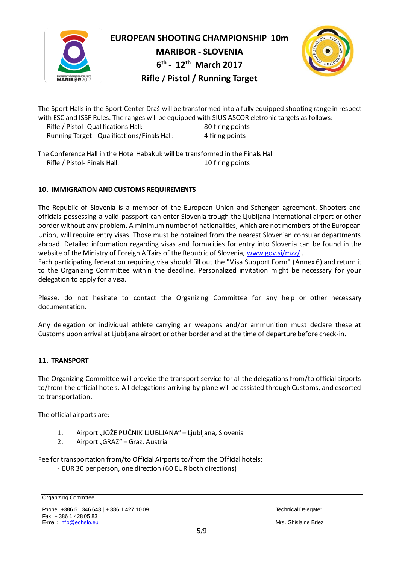



The Sport Halls in the Sport Center Draš will be transformed into a fully equipped shooting range in respect with ESC and ISSF Rules. The ranges will be equipped with SIUS ASCOR eletronic targets as follows: Rifle / Pistol- Qualifications Hall: 80 firing points

Running Target - Qualifications/Finals Hall: 4 firing points

The Conference Hall in the Hotel Habakuk will be transformed in the Finals Hall Rifle / Pistol- Finals Hall: 10 firing points

# **10. IMMIGRATION AND CUSTOMS REQUIREMENTS**

The Republic of Slovenia is a member of the European Union and Schengen agreement. Shooters and officials possessing a valid passport can enter Slovenia trough the Ljubljana international airport or other border without any problem. A minimum number of nationalities, which are not members of the European Union, will require entry visas. Those must be obtained from the nearest Slovenian consular departments abroad. Detailed information regarding visas and formalities for entry into Slovenia can be found in the website of the Ministry of Foreign Affairs of the Republic of Sloveni[a, www.gov.si/mzz](http://www.gov.si/mzz/)/.

Each participating federation requiring visa should fill out the "Visa Support Form" (Annex 6) and return it to the Organizing Committee within the deadline. Personalized invitation might be necessary for your delegation to apply for a visa.

Please, do not hesitate to contact the Organizing Committee for any help or other necessary documentation.

Any delegation or individual athlete carrying air weapons and/or ammunition must declare these at Customs upon arrival at Ljubljana airport or other border and at the time of departure before check-in.

# **11. TRANSPORT**

The Organizing Committee will provide the transport service for all the delegations from/to official airports to/from the official hotels. All delegations arriving by plane will be assisted through Customs, and escorted to transportation.

The official airports are:

- 1. Airport "JOŽE PUČNIK LJUBLJANA" Ljubljana, Slovenia
- 2. Airport "GRAZ" Graz, Austria

Fee for transportation from/to Official Airports to/from the Official hotels:

- EUR 30 per person, one direction (60 EUR both directions)

Organizing Committee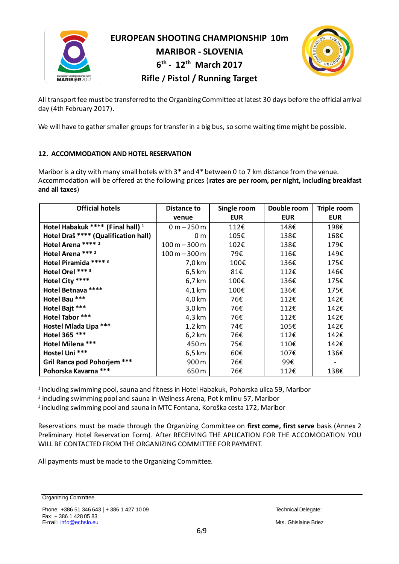

**EUROPEAN SHOOTING CHAMPIONSHIP 10m**

**MARIBOR - SLOVENIA 6 th - 12th March 2017** 



**Rifle / Pistol / Running Target**

All transport fee must be transferred to the Organizing Committee at latest 30 days before the official arrival day (4th February 2017).

We will have to gather smaller groups for transfer in a big bus, so some waiting time might be possible.

# **12. ACCOMMODATION AND HOTEL RESERVATION**

Maribor is a city with many small hotels with 3\* and 4\* between 0 to 7 km distance from the venue. Accommodation will be offered at the following prices (**rates are per room, per night, including breakfast and all taxes**)

| <b>Official hotels</b>                       | Distance to      | Single room | Double room | Triple room |
|----------------------------------------------|------------------|-------------|-------------|-------------|
|                                              | venue            | <b>EUR</b>  | <b>EUR</b>  | <b>EUR</b>  |
| Hotel Habakuk **** (Final hall) <sup>1</sup> | $0 m - 250 m$    | 112€        | 148€        | 198€        |
| Hotel Draš **** (Qualification hall)         | 0 <sub>m</sub>   | 105€        | 138€        | 168€        |
| Hotel Arena **** 2                           | $100 m - 300 m$  | 102€        | 138€        | 179€        |
| Hotel Arena *** 2                            | $100 m - 300 m$  | 79€         | 116€        | 149€        |
| Hotel Piramida **** 3                        | 7,0 km           | 100€        | 136€        | 175€        |
| Hotel Orel *** 3                             | 6,5 km           | 81€         | 112€        | 146€        |
| Hotel City ****                              | 6,7 km           | 100€        | 136€        | 175€        |
| Hotel Betnava ****                           | 4,1 km           | 100€        | 136€        | 175€        |
| Hotel Bau ***                                | 4,0 km           | 76€         | 112€        | 142€        |
| Hotel Bajt ***                               | $3,0$ km         | 76€         | 112€        | 142€        |
| Hotel Tabor ***                              | 4,3 km           | 76€         | 112€        | 142€        |
| Hostel Mlada Lipa ***                        | $1,2$ km         | 74€         | 105€        | 142€        |
| Hotel 365 ***                                | $6,2 \text{ km}$ | 76€         | 112€        | 142€        |
| Hotel Milena ***                             | 450 m            | 75€         | 110€        | 142€        |
| Hostel Uni ***                               | 6,5 km           | 60€         | 107€        | 136€        |
| Gril Ranca pod Pohorjem ***                  | 900 m            | 76€         | 99€         |             |
| Pohorska Kavarna ***                         | 650 m            | 76€         | 112€        | 138€        |

<sup>1</sup>including swimming pool, sauna and fitness in Hotel Habakuk, Pohorska ulica 59, Maribor

 $^{\rm 2}$  including swimming pool and sauna in Wellness Arena, Pot k mlinu 57, Maribor

<sup>3</sup>including swimming pool and sauna in MTC Fontana, Koroška cesta 172, Maribor

Reservations must be made through the Organizing Committee on **first come, first serve** basis (Annex 2 Preliminary Hotel Reservation Form). After RECEIVING THE APLICATION FOR THE ACCOMODATION YOU WILL BE CONTACTED FROM THE ORGANIZING COMMITTEE FOR PAYMENT.

All payments must be made to the Organizing Committee.

Organizing Committee

Phone: +386 51 346 643 | + 386 1 427 10 09 Technical Delegate: Fax: + 386 1 428 05 83 E-mail: [info@echslo.eu](mailto:info@echslo.eu) Mrs. Ghislaine Briez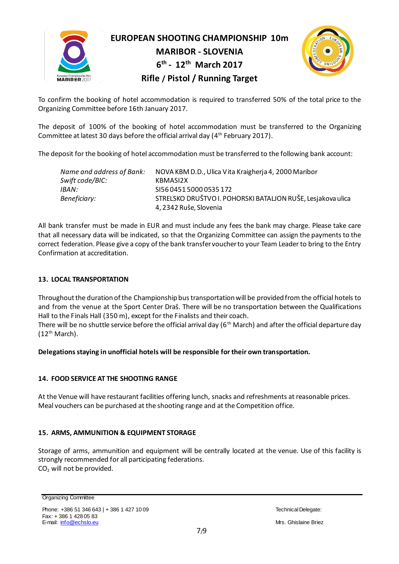

**EUROPEAN SHOOTING CHAMPIONSHIP 10m**

**MARIBOR - SLOVENIA 6 th - 12th March 2017** 



# **Rifle / Pistol / Running Target**

To confirm the booking of hotel accommodation is required to transferred 50% of the total price to the Organizing Committee before 16th January 2017.

The deposit of 100% of the booking of hotel accommodation must be transferred to the Organizing Committee at latest 30 days before the official arrival day ( $4^\mathrm{th}$  February 2017).

The deposit for the booking of hotel accommodation must be transferred to the following bank account:

| Name and address of Bank:<br>Swift code/BIC: | NOVA KBM D.D., Ulica Vita Kraigherja 4, 2000 Maribor<br>KBMASI2X |
|----------------------------------------------|------------------------------------------------------------------|
|                                              |                                                                  |
| IBAN:                                        | SI56045150000535172                                              |
| Beneficiary:                                 | STRELSKO DRUŠTVO I. POHORSKI BATALJON RUŠE, Lesjakova ulica      |
|                                              | 4, 2342 Ruše, Slovenia                                           |

All bank transfer must be made in EUR and must include any fees the bank may charge. Please take care that all necessary data will be indicated, so that the Organizing Committee can assign the payments to the correct federation. Please give a copy of the bank transfer voucher to your Team Leader to bring to the Entry Confirmation at accreditation.

# **13. LOCAL TRANSPORTATION**

Throughout the duration of the Championship bus transportation will be provided from the official hotels to and from the venue at the Sport Center Draš. There will be no transportation between the Qualifications Hall to the Finals Hall (350 m), except for the Finalists and their coach.

There will be no shuttle service before the official arrival day ( $6<sup>th</sup>$  March) and after the official departure day  $(12<sup>th</sup> March)$ .

**Delegations staying in unofficial hotels will be responsible for their own transportation.**

# **14. FOOD SERVICE AT THE SHOOTING RANGE**

At the Venue will have restaurant facilities offering lunch, snacks and refreshments at reasonable prices. Meal vouchers can be purchased at the shooting range and at the Competition office.

# **15. ARMS, AMMUNITION & EQUIPMENT STORAGE**

Storage of arms, ammunition and equipment will be centrally located at the venue. Use of this facility is strongly recommended for all participating federations. CO<sub>2</sub> will not be provided.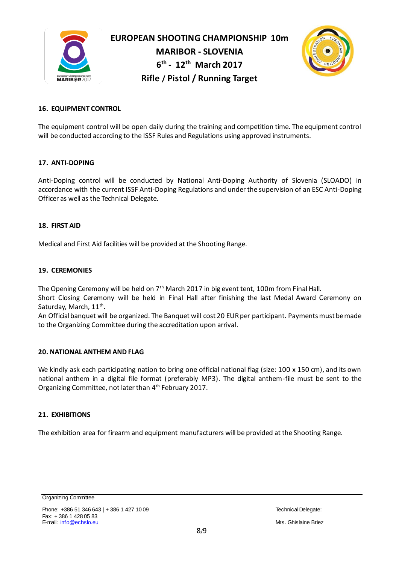



# **16. EQUIPMENT CONTROL**

The equipment control will be open daily during the training and competition time. The equipment control will be conducted according to the ISSF Rules and Regulations using approved instruments.

#### **17. ANTI-DOPING**

Anti-Doping control will be conducted by National Anti-Doping Authority of Slovenia (SLOADO) in accordance with the current ISSF Anti-Doping Regulations and under the supervision of an ESC Anti-Doping Officer as well as the Technical Delegate.

#### **18. FIRST AID**

Medical and First Aid facilities will be provided at the Shooting Range.

#### **19. CEREMONIES**

The Opening Ceremony will be held on 7<sup>th</sup> March 2017 in big event tent, 100m from Final Hall. Short Closing Ceremony will be held in Final Hall after finishing the last Medal Award Ceremony on Saturday, March, 11<sup>th</sup>.

An Official banquet will be organized. The Banquet will cost 20 EURper participant. Payments must be made to the Organizing Committee during the accreditation upon arrival.

# **20. NATIONAL ANTHEM AND FLAG**

We kindly ask each participating nation to bring one official national flag (size: 100 x 150 cm), and its own national anthem in a digital file format (preferably MP3). The digital anthem-file must be sent to the Organizing Committee, not later than 4<sup>th</sup> February 2017.

# **21. EXHIBITIONS**

The exhibition area for firearm and equipment manufacturers will be provided at the Shooting Range.